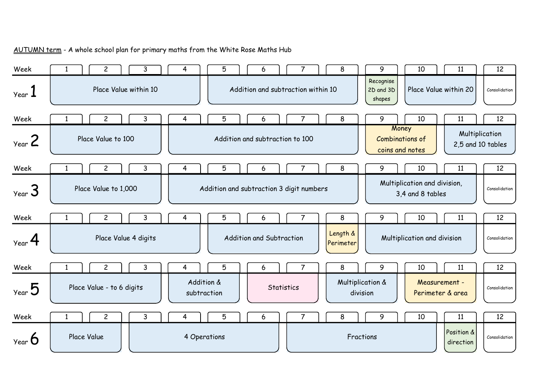

AUTUMN term - A whole school plan for primary maths from the White Rose Maths Hub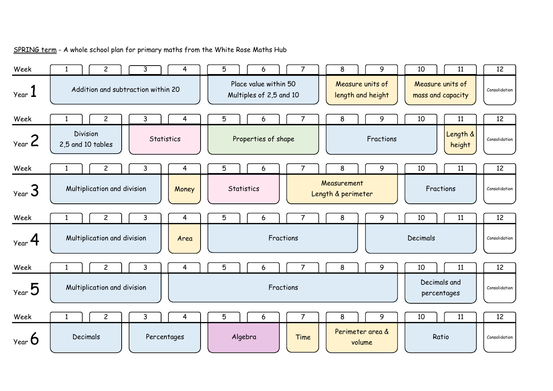| Week                        | $\mathbf{2}$                         | 3<br>4                             | 5 | 6                                                |                | 8                                     |        | 9         | 10       | 11                                    | 12            |
|-----------------------------|--------------------------------------|------------------------------------|---|--------------------------------------------------|----------------|---------------------------------------|--------|-----------|----------|---------------------------------------|---------------|
| $\gamma$ ear $\blacksquare$ |                                      | Addition and subtraction within 20 |   | Place value within 50<br>Multiples of 2,5 and 10 |                | Measure units of<br>length and height |        |           |          | Measure units of<br>mass and capacity | Consolidation |
| Week                        | $\overline{c}$                       | 3<br>4                             | 5 | 6                                                |                | 8                                     |        | 9         | 10       | 11                                    | 12            |
| $y_{ear}$ 2                 | <b>Division</b><br>2,5 and 10 tables | Statistics                         |   | Properties of shape                              |                |                                       |        | Fractions |          | Length &<br>height                    | Consolidation |
| Week                        | $\overline{c}$                       | 3<br>4                             | 5 | 6                                                |                | 8                                     |        | 9         | 10       | 11                                    | 12            |
| $y_{ear}$ 3                 | Multiplication and division          | Money                              |   | Statistics                                       |                | Measurement<br>Length & perimeter     |        |           |          | Fractions                             | Consolidation |
| Week                        | $\overline{c}$                       | 3<br>4                             | 5 | 6                                                |                | 8                                     |        | 9         | 10       | 11                                    | 12            |
| $y_{ear}$ 4                 | Multiplication and division          | Area                               |   | Fractions                                        |                |                                       |        |           | Decimals |                                       | Consolidation |
| Week                        | $\overline{c}$                       | 3<br>4                             | 5 | 6                                                |                | 8                                     |        | 9         | 10       | 11                                    | 12            |
| $\gamma_{\text{ear}}$ 5     | Multiplication and division          |                                    |   | Fractions                                        |                |                                       |        |           |          | Decimals and<br>percentages           | Consolidation |
| Week                        | $\mathbf{2}$                         | 3<br>4                             | 5 | 6                                                | $\overline{7}$ | 8                                     |        | 9         | 10       | 11                                    | 12            |
| $Year$ $O$                  | Decimals                             | Percentages                        |   | Algebra                                          | Time           | Perimeter area &                      | volume |           |          | Ratio                                 | Consolidation |

SPRING term - A whole school plan for primary maths from the White Rose Maths Hub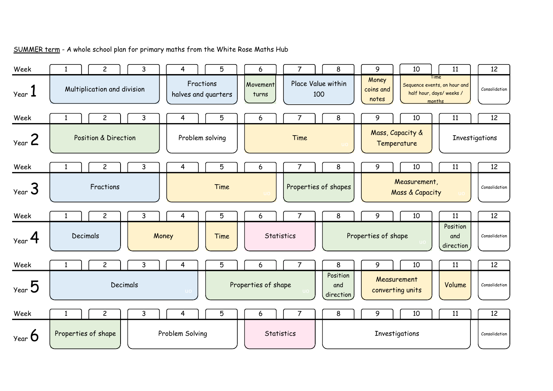| Week               | 2                               | 3            | 4               | 5                   | 6                   | 7                    |     | 8                            | 9                               | 10                              | 11                                                                        | 12             |
|--------------------|---------------------------------|--------------|-----------------|---------------------|---------------------|----------------------|-----|------------------------------|---------------------------------|---------------------------------|---------------------------------------------------------------------------|----------------|
| Year J             | Multiplication and division     |              | Fractions       | halves and quarters | Movement<br>turns   | Place Value within   | 100 |                              | Money<br>coins and<br>notes     |                                 | Time<br>Sequence events, on hour and<br>half hour, days/weeks /<br>months | Consolidation  |
| Week               | $\overline{c}$                  | 3            | 4               | 5                   | 6                   |                      |     | 8                            | 9                               | 10                              | 11                                                                        | 12             |
| $y_{ear}$ 2        | <b>Position &amp; Direction</b> |              |                 | Problem solving     |                     | Time                 |     |                              | Mass, Capacity &<br>Temperature |                                 |                                                                           | Investigations |
| Week               | $\overline{c}$                  | 3            | 4               | 5                   | 6                   |                      |     | 8                            | 9                               | 10                              | 11                                                                        | 12             |
| $y_{ear}$ 3        | Fractions                       |              |                 | Time                |                     | Properties of shapes |     |                              |                                 | Measurement,<br>Mass & Capacity |                                                                           | Consolidation  |
| Week               | $\overline{c}$                  | 3            | 4               | 5                   | 6                   | $\overline{7}$       |     | 8                            | 9                               | 10                              | 11                                                                        | 12             |
| $_{\text{Year}}$ 4 | Decimals                        | Money        |                 | Time                | <b>Statistics</b>   |                      |     |                              | Properties of shape             |                                 | Position<br>and<br>direction                                              | Consolidation  |
| Week               | $\overline{c}$                  | 3            | $\overline{4}$  | 5                   | 6                   | $\overline{7}$       |     | 8                            | 9                               | 10                              | 11                                                                        | 12             |
| $v_{\text{ear}}$ 5 |                                 | Decimals     | UO.             |                     | Properties of shape |                      |     | Position<br>and<br>direction | Measurement<br>converting units |                                 | Volume                                                                    | Consolidation  |
| Week               | $\overline{c}$                  | $\mathsf{3}$ | 4               | 5                   | 6                   | 7                    |     | 8                            | 9                               | 10                              | 11                                                                        | 12             |
| $Year$ $\bullet$   | Properties of shape             |              | Problem Solving |                     | Statistics          |                      |     |                              | Investigations                  |                                 |                                                                           | Consolidation  |

SUMMER term - A whole school plan for primary maths from the White Rose Maths Hub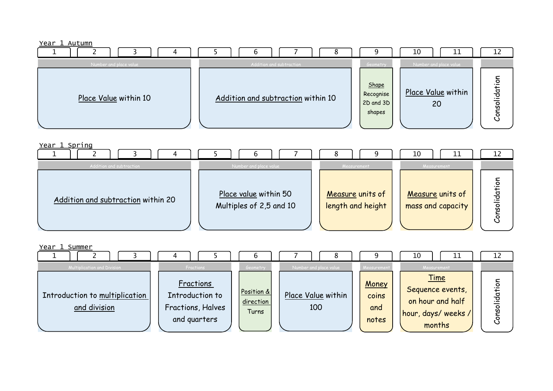## Year 1 Autumn

|                        |                                    |                                               | 10<br>11                 | <b>1</b><br>ᅩ                                                    |
|------------------------|------------------------------------|-----------------------------------------------|--------------------------|------------------------------------------------------------------|
| Number and place value | Addition and subtraction           | Geometry                                      | Number and place value   |                                                                  |
| Place Value within 10  | Addition and subtraction within 10 | Shape<br>Recognise<br>$2D$ and $3D$<br>shapes | Place Value within<br>20 | <u>ō</u> .<br>$\frac{1}{2}$<br>$\cdot$ $-$<br>–<br>SO<br>~<br>ပိ |

Year 1 Spring



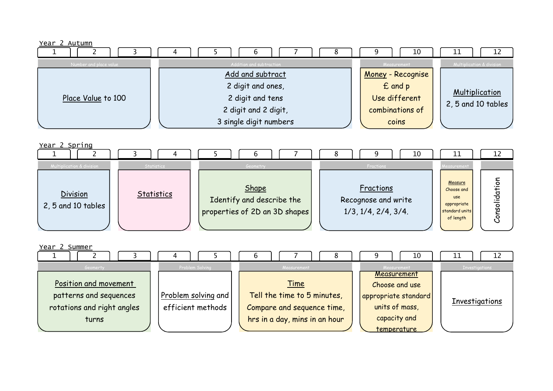## Year 2 Autumn

|                        |                          | 10<br><u> 11</u><br>12                   |
|------------------------|--------------------------|------------------------------------------|
| Number and place value | Addition and subtraction | Multiplication & division<br>Measurement |
|                        | Add and subtract         | Money - Recognise                        |
|                        | 2 digit and ones,        | £ and p                                  |
| Place Value to 100     | 2 digit and tens         | <b>Multiplication</b><br>Use different   |
|                        | 2 digit and 2 digit,     | 2, 5 and 10 tables<br>combinations of    |
|                        | 3 single digit numbers   | coins                                    |



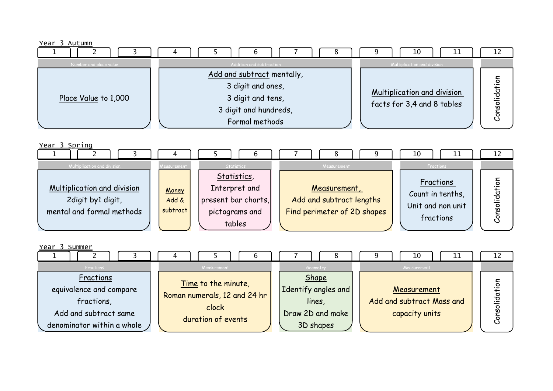Year 3 Autumn

|                        | O                          | 10<br>ᆂᆂ                           | ᅩᄼ        |
|------------------------|----------------------------|------------------------------------|-----------|
| Number and place value | Addition and subtraction   | Multiplication and division        |           |
|                        | Add and subtract mentally, |                                    |           |
|                        | 3 digit and ones,          |                                    | <u>ه.</u> |
| Place Value to 1,000   | 3 digit and tens,          | <b>Multiplication and division</b> | idat      |
|                        | 3 digit and hundreds,      | facts for 3,4 and 8 tables         | O<br>w    |
|                        | Formal methods             |                                    | o<br>ပ    |

Year 3 Spring



| Year 3 Summer              |                              |                     | ΊO<br>ᆠᅶ                  | ∸∸                                 |
|----------------------------|------------------------------|---------------------|---------------------------|------------------------------------|
| Fractions                  | Measurement                  | Geometry            | Measurement               |                                    |
| Fractions                  | Time to the minute,          | Shape               |                           |                                    |
| equivalence and compare    | Roman numerals, 12 and 24 hr | Identify angles and | Measurement               | c<br>$\overline{\phantom{0}}$<br>d |
| fractions,                 | clock                        | lines,              | Add and subtract Mass and | ᠊ᠣ<br>c                            |
| Add and subtract same      |                              | Draw 2D and make    | capacity units            | w<br>c                             |
| denominator within a whole | duration of events           | 3D shapes           |                           |                                    |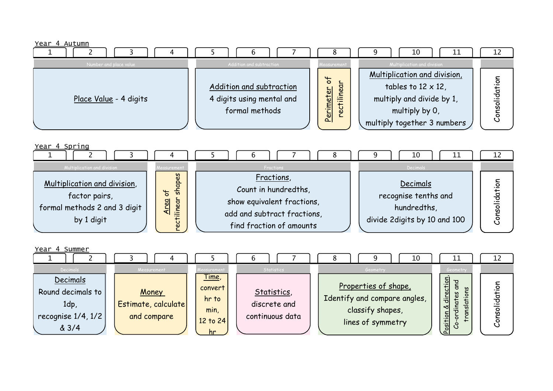## Year 4 Autumn

| ____                   |                           |                                         | 10<br>ᆂᆂ                     | ᅩ                |
|------------------------|---------------------------|-----------------------------------------|------------------------------|------------------|
| Number and place value | Addition and subtraction  | Measurement                             | Multiplication and division  |                  |
|                        |                           |                                         | Multiplication and division, | ㅎ                |
|                        | Addition and subtraction  | $\circ$<br>৯৷                           | tables to $12 \times 12$ ,   | . —              |
| Place Value - 4 digits | 4 digits using mental and | $\overline{\phantom{0}}$<br>$\cdot$ $-$ | multiply and divide by 1,    | idati<br>$\circ$ |
|                        | formal methods            | 크.<br>Per                               | multiply by 0,               | Ŵ                |
|                        |                           |                                         | multiply together 3 numbers  | ပိ               |



| Year 4 Summer                                                                         |                                                            |                                                                                      | O                                                            | 10                                                                                                        | 12                                                                                                                                                  |  |
|---------------------------------------------------------------------------------------|------------------------------------------------------------|--------------------------------------------------------------------------------------|--------------------------------------------------------------|-----------------------------------------------------------------------------------------------------------|-----------------------------------------------------------------------------------------------------------------------------------------------------|--|
| Decimals<br>Decimals<br>Round decimals to<br>1dp,<br>recognise $1/4$ , $1/2$<br>& 3/4 | Measurement<br>Money<br>Estimate, calculate<br>and compare | Measurement<br><u>Time,</u><br>convert<br>hr to<br>min,<br>12 to 24<br><sub>hr</sub> | Statistics<br>Statistics,<br>discrete and<br>continuous data | Geometry<br>Properties of shape,<br>Identify and compare angles,<br>classify shapes,<br>lines of symmetry | Geometry<br>direction<br>ò<br>ត្ត<br>._<br>idat<br>$\overline{6}$<br>$\frac{1}{\overline{a}}$<br>৺ত<br>transl<br>$\circ$<br>Position<br>w<br>O<br>ر |  |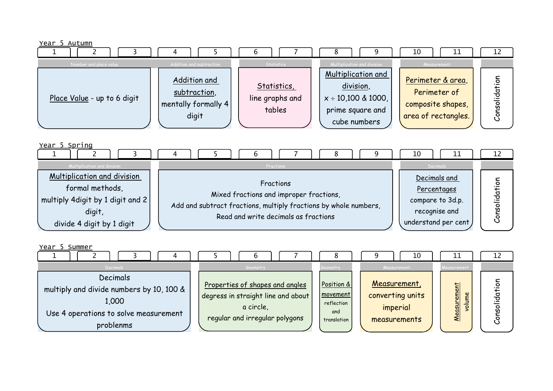



| divide 4 digit by 1 digit |  |
|---------------------------|--|
|                           |  |

| Year 5 Summer                                                                                                       |                                                                                                                      |                                                            | 10<br>ᅩᅩ                                                                                                    | ᅩ᠘                                 |
|---------------------------------------------------------------------------------------------------------------------|----------------------------------------------------------------------------------------------------------------------|------------------------------------------------------------|-------------------------------------------------------------------------------------------------------------|------------------------------------|
| Decimals                                                                                                            | Geometry                                                                                                             | Geometry                                                   | Measurement<br>Measurement                                                                                  |                                    |
| Decimals<br>multiply and divide numbers by 10, 100 &<br>1,000<br>Use 4 operations to solve measurement<br>problenms | Properties of shapes and angles<br>degress in straight line and about<br>a circle,<br>regular and irregular polygons | Position &<br>movement<br>reflection<br>and<br>translation | Measurement,<br>ŧ<br><u>rem</u><br>converting units<br>volume<br>imperial<br>$\frac{1}{20}$<br>measurements | $\circ$<br>뮹<br>$\circ$<br>w<br>ပိ |